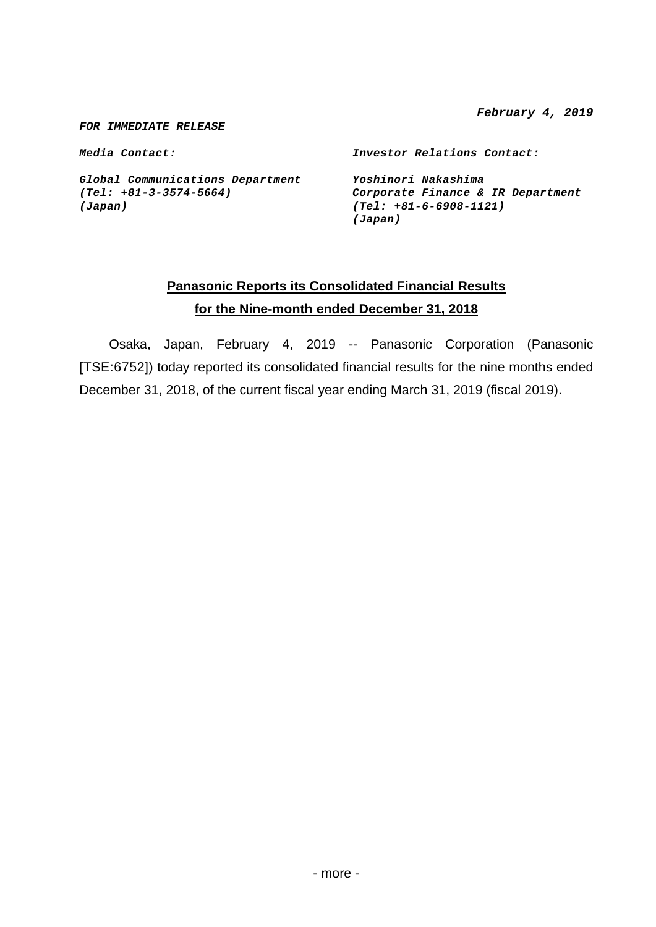*February 4, 2019* 

*FOR IMMEDIATE RELEASE* 

*Media Contact: Investor Relations Contact:* 

*Global Communications Department Yoshinori Nakashima (Japan) (Tel: +81-6-6908-1121)*

*(Tel: +81-3-3574-5664) Corporate Finance & IR Department (Japan)*

# **Panasonic Reports its Consolidated Financial Results for the Nine-month ended December 31, 2018**

 Osaka, Japan, February 4, 2019 -- Panasonic Corporation (Panasonic [TSE:6752]) today reported its consolidated financial results for the nine months ended December 31, 2018, of the current fiscal year ending March 31, 2019 (fiscal 2019).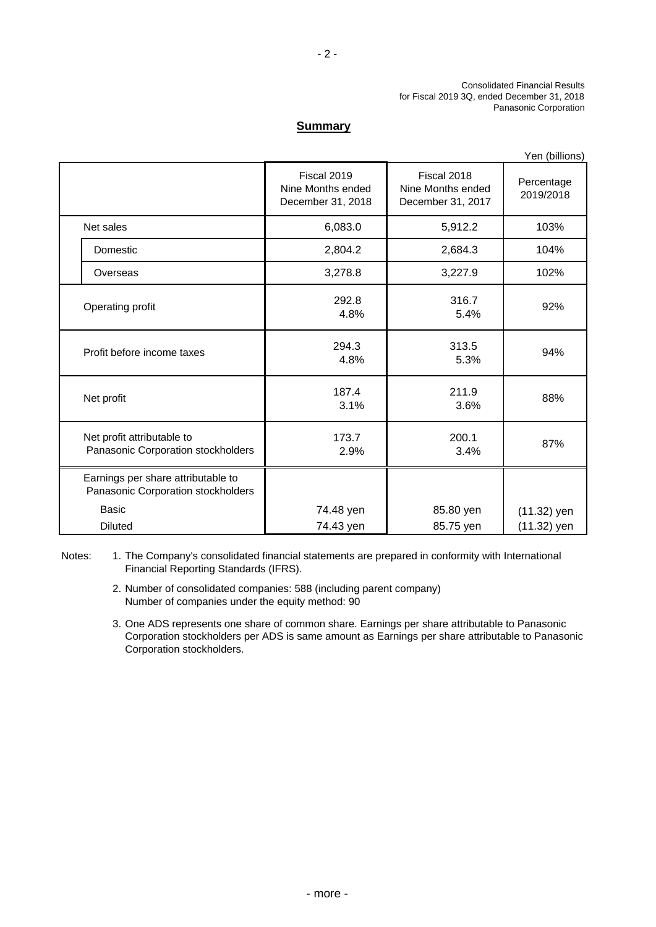### **Summary**

|                                                                          |                                                       |                                                       | Yen (billions)          |
|--------------------------------------------------------------------------|-------------------------------------------------------|-------------------------------------------------------|-------------------------|
|                                                                          | Fiscal 2019<br>Nine Months ended<br>December 31, 2018 | Fiscal 2018<br>Nine Months ended<br>December 31, 2017 | Percentage<br>2019/2018 |
| Net sales                                                                | 6,083.0                                               | 5,912.2                                               | 103%                    |
| Domestic                                                                 | 2,804.2                                               | 2,684.3                                               | 104%                    |
| Overseas                                                                 | 3,278.8                                               | 3,227.9                                               | 102%                    |
| Operating profit                                                         | 292.8<br>4.8%                                         | 316.7<br>5.4%                                         | 92%                     |
| Profit before income taxes                                               | 294.3<br>4.8%                                         | 313.5<br>5.3%                                         | 94%                     |
| Net profit                                                               | 187.4<br>3.1%                                         | 211.9<br>3.6%                                         | 88%                     |
| Net profit attributable to<br>Panasonic Corporation stockholders         | 173.7<br>2.9%                                         | 200.1<br>3.4%                                         | 87%                     |
| Earnings per share attributable to<br>Panasonic Corporation stockholders |                                                       |                                                       |                         |
| Basic                                                                    | 74.48 yen                                             | 85.80 yen                                             | $(11.32)$ yen           |
| <b>Diluted</b>                                                           | 74.43 yen                                             | 85.75 yen                                             | $(11.32)$ yen           |

Notes: 1. The Company's consolidated financial statements are prepared in conformity with International Financial Reporting Standards (IFRS).

> 2. Number of consolidated companies: 588 (including parent company) Number of companies under the equity method: 90

3. One ADS represents one share of common share. Earnings per share attributable to Panasonic Corporation stockholders per ADS is same amount as Earnings per share attributable to Panasonic Corporation stockholders.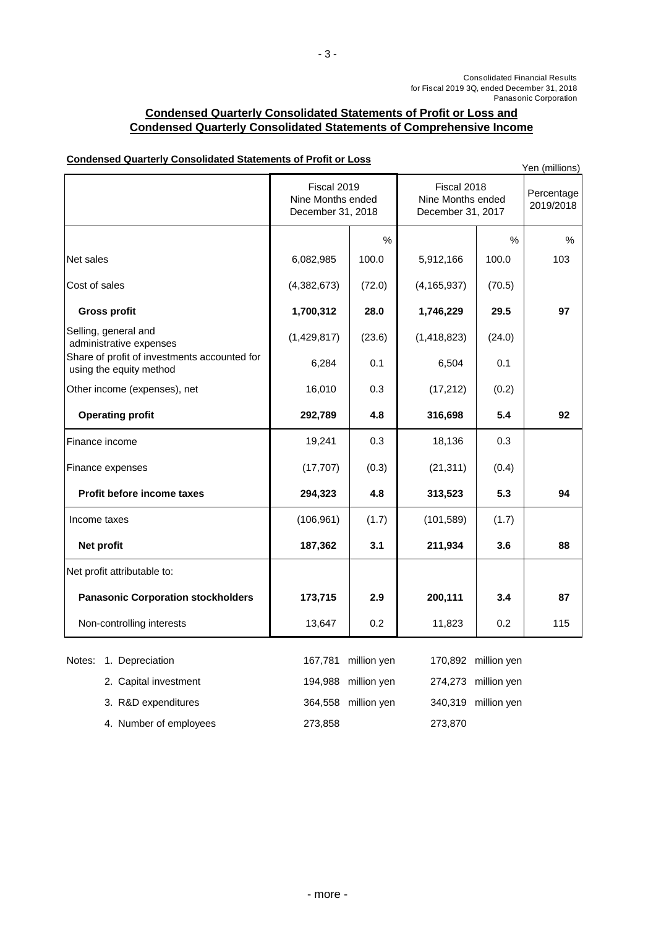Panasonic Corporation

### **Condensed Quarterly Consolidated Statements of Profit or Loss and Condensed Quarterly Consolidated Statements of Comprehensive Income**

- 3 -

| <u>Condensed Quarterly Consondated Statements of Front of Loss</u>      |                                                       |             |                                                       |                     | Yen (millions)          |
|-------------------------------------------------------------------------|-------------------------------------------------------|-------------|-------------------------------------------------------|---------------------|-------------------------|
|                                                                         | Fiscal 2019<br>Nine Months ended<br>December 31, 2018 |             | Fiscal 2018<br>Nine Months ended<br>December 31, 2017 |                     | Percentage<br>2019/2018 |
|                                                                         |                                                       | %           |                                                       | %                   | $\%$                    |
| Net sales                                                               | 6,082,985                                             | 100.0       | 5,912,166                                             | 100.0               | 103                     |
| Cost of sales                                                           | (4,382,673)                                           | (72.0)      | (4, 165, 937)                                         | (70.5)              |                         |
| <b>Gross profit</b>                                                     | 1,700,312                                             | 28.0        | 1,746,229                                             | 29.5                | 97                      |
| Selling, general and<br>administrative expenses                         | (1,429,817)                                           | (23.6)      | (1,418,823)                                           | (24.0)              |                         |
| Share of profit of investments accounted for<br>using the equity method | 6,284                                                 | 0.1         | 6,504                                                 | 0.1                 |                         |
| Other income (expenses), net                                            | 16,010                                                | 0.3         | (17, 212)                                             | (0.2)               |                         |
| <b>Operating profit</b>                                                 | 292,789                                               | 4.8         | 316,698                                               | 5.4                 | 92                      |
| Finance income                                                          | 19,241                                                | 0.3         | 18,136                                                | 0.3                 |                         |
| Finance expenses                                                        | (17, 707)                                             | (0.3)       | (21, 311)                                             | (0.4)               |                         |
| <b>Profit before income taxes</b>                                       | 294,323                                               | 4.8         | 313,523                                               | 5.3                 | 94                      |
| Income taxes                                                            | (106, 961)                                            | (1.7)       | (101, 589)                                            | (1.7)               |                         |
| Net profit                                                              | 187,362                                               | 3.1         | 211,934                                               | 3.6                 | 88                      |
| Net profit attributable to:                                             |                                                       |             |                                                       |                     |                         |
| <b>Panasonic Corporation stockholders</b>                               | 173,715                                               | 2.9         | 200,111                                               | 3.4                 | 87                      |
| Non-controlling interests                                               | 13,647                                                | 0.2         | 11,823                                                | 0.2                 | 115                     |
| 1. Depreciation<br>Notes:                                               | 167,781                                               | million yen |                                                       | 170,892 million yen |                         |
| 2. Capital investment                                                   | 194,988                                               | million yen | 274,273                                               | million yen         |                         |
| 3. R&D expenditures                                                     | 364,558                                               | million yen | 340,319                                               | million yen         |                         |
| 4. Number of employees                                                  | 273,858                                               |             | 273,870                                               |                     |                         |

### **Condensed Quarterly Consolidated Statements of Profit or Loss**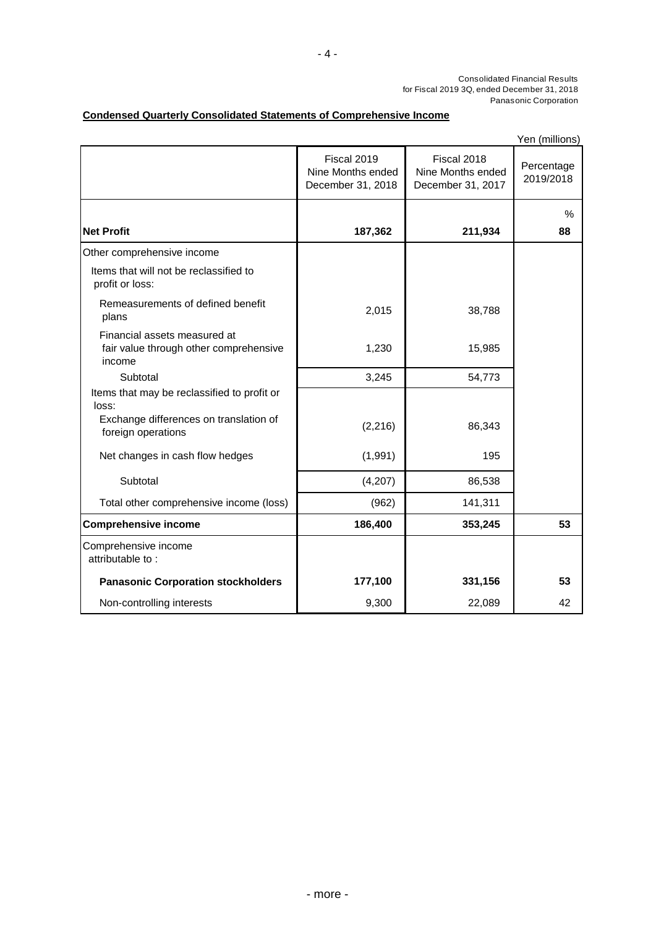### **Condensed Quarterly Consolidated Statements of Comprehensive Income**

Yen (millions)

|                                                                                  |                                                       |                                                       | טווטוווווון ווט ו       |
|----------------------------------------------------------------------------------|-------------------------------------------------------|-------------------------------------------------------|-------------------------|
|                                                                                  | Fiscal 2019<br>Nine Months ended<br>December 31, 2018 | Fiscal 2018<br>Nine Months ended<br>December 31, 2017 | Percentage<br>2019/2018 |
|                                                                                  |                                                       |                                                       | %                       |
| <b>Net Profit</b>                                                                | 187,362                                               | 211,934                                               | 88                      |
| Other comprehensive income                                                       |                                                       |                                                       |                         |
| Items that will not be reclassified to<br>profit or loss:                        |                                                       |                                                       |                         |
| Remeasurements of defined benefit<br>plans                                       | 2,015                                                 | 38,788                                                |                         |
| Financial assets measured at<br>fair value through other comprehensive<br>income | 1,230                                                 | 15,985                                                |                         |
| Subtotal                                                                         | 3,245                                                 | 54,773                                                |                         |
| Items that may be reclassified to profit or<br>loss:                             |                                                       |                                                       |                         |
| Exchange differences on translation of<br>foreign operations                     | (2, 216)                                              | 86,343                                                |                         |
| Net changes in cash flow hedges                                                  | (1,991)                                               | 195                                                   |                         |
| Subtotal                                                                         | (4,207)                                               | 86,538                                                |                         |
| Total other comprehensive income (loss)                                          | (962)                                                 | 141,311                                               |                         |
| <b>Comprehensive income</b>                                                      | 186,400                                               | 353,245                                               | 53                      |
| Comprehensive income<br>attributable to:                                         |                                                       |                                                       |                         |
| <b>Panasonic Corporation stockholders</b>                                        | 177,100                                               | 331,156                                               | 53                      |
| Non-controlling interests                                                        | 9,300                                                 | 22,089                                                | 42                      |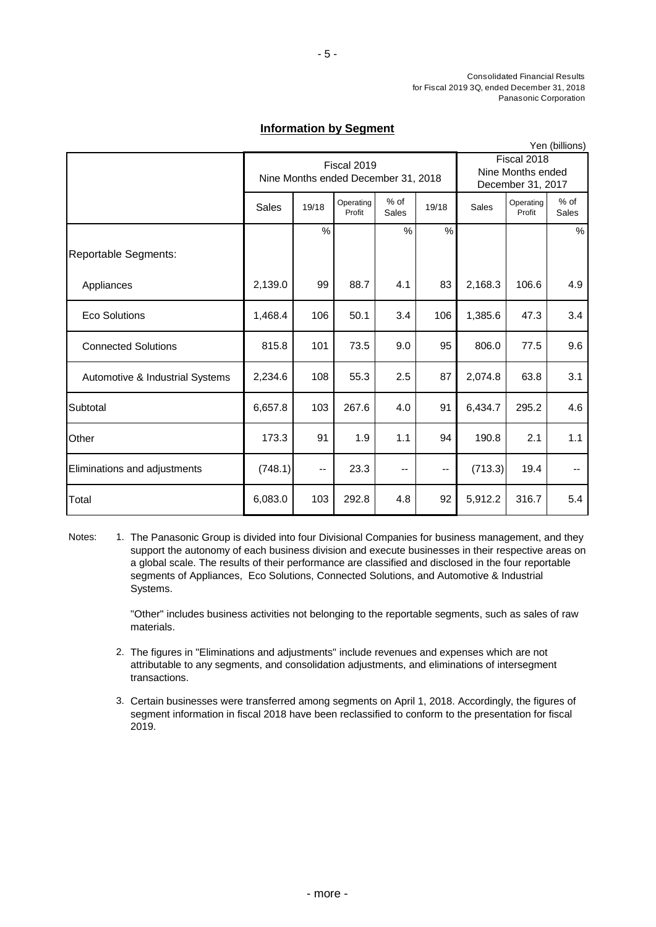### **Information by Segment**

|                                 |         |                                                    |                     |                      |                                                       |         |                     | Yen (billions) |
|---------------------------------|---------|----------------------------------------------------|---------------------|----------------------|-------------------------------------------------------|---------|---------------------|----------------|
|                                 |         | Fiscal 2019<br>Nine Months ended December 31, 2018 |                     |                      | Fiscal 2018<br>Nine Months ended<br>December 31, 2017 |         |                     |                |
|                                 | Sales   | 19/18                                              | Operating<br>Profit | % of<br><b>Sales</b> | 19/18                                                 | Sales   | Operating<br>Profit | % of<br>Sales  |
|                                 |         | %                                                  |                     | %                    | %                                                     |         |                     | $\%$           |
| Reportable Segments:            |         |                                                    |                     |                      |                                                       |         |                     |                |
| Appliances                      | 2,139.0 | 99                                                 | 88.7                | 4.1                  | 83                                                    | 2,168.3 | 106.6               | 4.9            |
| <b>Eco Solutions</b>            | 1,468.4 | 106                                                | 50.1                | 3.4                  | 106                                                   | 1,385.6 | 47.3                | 3.4            |
| <b>Connected Solutions</b>      | 815.8   | 101                                                | 73.5                | 9.0                  | 95                                                    | 806.0   | 77.5                | 9.6            |
| Automotive & Industrial Systems | 2,234.6 | 108                                                | 55.3                | 2.5                  | 87                                                    | 2,074.8 | 63.8                | 3.1            |
| Subtotal                        | 6,657.8 | 103                                                | 267.6               | 4.0                  | 91                                                    | 6,434.7 | 295.2               | 4.6            |
| Other                           | 173.3   | 91                                                 | 1.9                 | 1.1                  | 94                                                    | 190.8   | 2.1                 | 1.1            |
| Eliminations and adjustments    | (748.1) | $\overline{\phantom{a}}$                           | 23.3                | $\qquad \qquad -$    | --                                                    | (713.3) | 19.4                |                |
| Total                           | 6,083.0 | 103                                                | 292.8               | 4.8                  | 92                                                    | 5,912.2 | 316.7               | 5.4            |

Notes: 1. The Panasonic Group is divided into four Divisional Companies for business management, and they support the autonomy of each business division and execute businesses in their respective areas on a global scale. The results of their performance are classified and disclosed in the four reportable segments of Appliances, Eco Solutions, Connected Solutions, and Automotive & Industrial Systems.

> "Other" includes business activities not belonging to the reportable segments, such as sales of raw materials.

- 2. The figures in "Eliminations and adjustments" include revenues and expenses which are not attributable to any segments, and consolidation adjustments, and eliminations of intersegment transactions.
- 3. Certain businesses were transferred among segments on April 1, 2018. Accordingly, the figures of segment information in fiscal 2018 have been reclassified to conform to the presentation for fiscal 2019.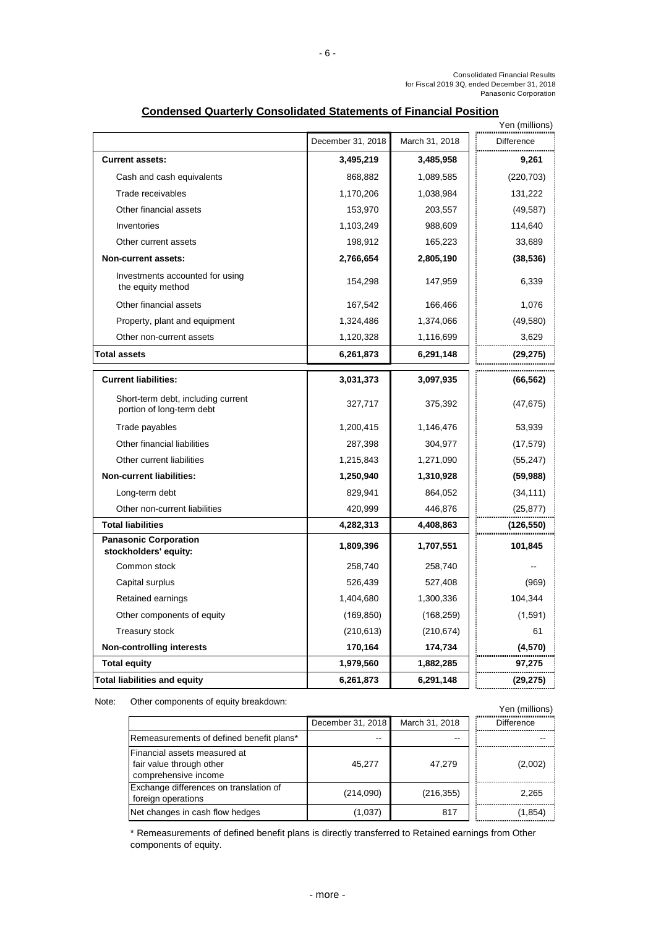| Yen (millions)                                                  |                   |                |            |  |
|-----------------------------------------------------------------|-------------------|----------------|------------|--|
|                                                                 | December 31, 2018 | March 31, 2018 | Difference |  |
| <b>Current assets:</b>                                          | 3,495,219         | 3,485,958      | 9,261      |  |
| Cash and cash equivalents                                       | 868,882           | 1,089,585      | (220, 703) |  |
| Trade receivables                                               | 1,170,206         | 1,038,984      | 131,222    |  |
| Other financial assets                                          | 153,970           | 203,557        | (49, 587)  |  |
| Inventories                                                     | 1,103,249         | 988,609        | 114,640    |  |
| Other current assets                                            | 198,912           | 165,223        | 33,689     |  |
| Non-current assets:                                             | 2,766,654         | 2,805,190      | (38, 536)  |  |
| Investments accounted for using<br>the equity method            | 154,298           | 147,959        | 6,339      |  |
| Other financial assets                                          | 167,542           | 166,466        | 1,076      |  |
| Property, plant and equipment                                   | 1,324,486         | 1,374,066      | (49, 580)  |  |
| Other non-current assets                                        | 1,120,328         | 1,116,699      | 3,629      |  |
| <b>Total assets</b>                                             | 6,261,873         | 6,291,148      | (29, 275)  |  |
| <b>Current liabilities:</b>                                     | 3,031,373         | 3,097,935      | (66, 562)  |  |
| Short-term debt, including current<br>portion of long-term debt | 327,717           | 375,392        | (47, 675)  |  |
| Trade payables                                                  | 1,200,415         | 1,146,476      | 53,939     |  |
| Other financial liabilities                                     | 287,398           | 304,977        | (17, 579)  |  |
| Other current liabilities                                       | 1,215,843         | 1,271,090      | (55, 247)  |  |
| <b>Non-current liabilities:</b>                                 | 1,250,940         | 1,310,928      | (59, 988)  |  |
| Long-term debt                                                  | 829,941           | 864,052        | (34, 111)  |  |
| Other non-current liabilities                                   | 420,999           | 446,876        | (25, 877)  |  |
| <b>Total liabilities</b>                                        | 4,282,313         | 4,408,863      | (126, 550) |  |
| <b>Panasonic Corporation</b><br>stockholders' equity:           | 1,809,396         | 1,707,551      | 101,845    |  |
| Common stock                                                    | 258,740           | 258,740        |            |  |
| Capital surplus                                                 | 526,439           | 527,408        | (969)      |  |
| Retained earnings                                               | 1,404,680         | 1,300,336      | 104,344    |  |
| Other components of equity                                      | (169, 850)        | (168, 259)     | (1,591)    |  |
| <b>Treasury stock</b>                                           | (210, 613)        | (210, 674)     | 61         |  |
| <b>Non-controlling interests</b>                                | 170,164           | 174,734        | (4,570)    |  |
| <b>Total equity</b>                                             | 1,979,560         | 1,882,285      | 97,275     |  |
| <b>Total liabilities and equity</b>                             | 6,261,873         | 6,291,148      | (29, 275)  |  |

### **Condensed Quarterly Consolidated Statements of Financial Position**

Other components of equity breakdown: Yen (millions) Note:

|                                                                                  | December 31, 2018 | March 31, 2018 | <b>Difference</b> |
|----------------------------------------------------------------------------------|-------------------|----------------|-------------------|
| Remeasurements of defined benefit plans*                                         |                   |                |                   |
| Financial assets measured at<br>fair value through other<br>comprehensive income | 45.277            | 47.279         | (2,002)           |
| Exchange differences on translation of<br>foreign operations                     | (214,090)         | (216, 355)     | 2,265             |
| Net changes in cash flow hedges                                                  | (1,037)           | 817            | (1, 854)          |

\* Remeasurements of defined benefit plans is directly transferred to Retained earnings from Other components of equity.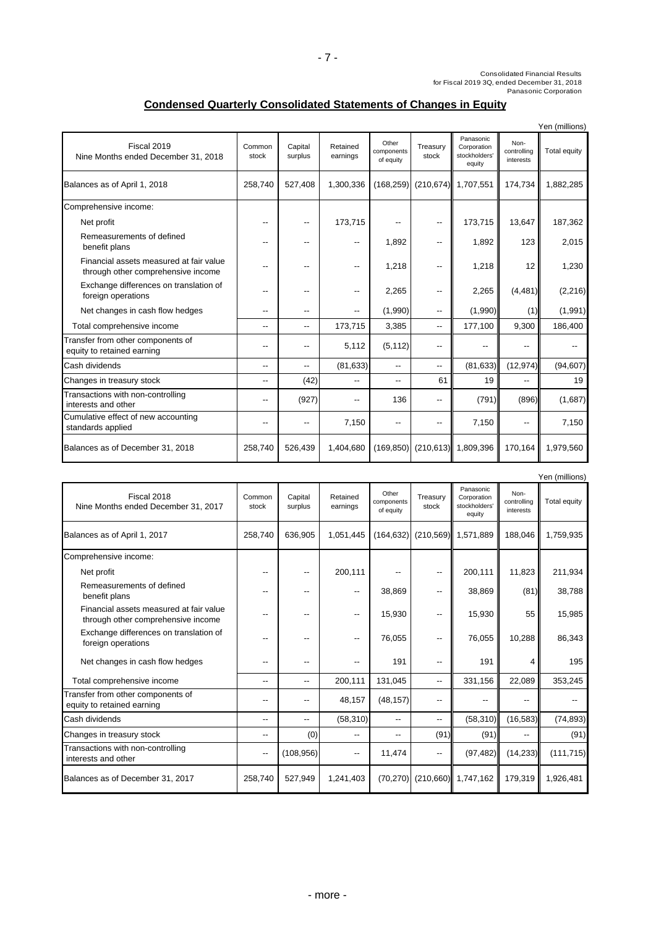# **Condensed Quarterly Consolidated Statements of Changes in Equity**

|                                                                               |                 |                          |                      |                                  |                   |                                                     |                                  | Yen (millions) |
|-------------------------------------------------------------------------------|-----------------|--------------------------|----------------------|----------------------------------|-------------------|-----------------------------------------------------|----------------------------------|----------------|
| Fiscal 2019<br>Nine Months ended December 31, 2018                            | Common<br>stock | Capital<br>surplus       | Retained<br>earnings | Other<br>components<br>of equity | Treasury<br>stock | Panasonic<br>Corporation<br>stockholders'<br>equity | Non-<br>controlling<br>interests | Total equity   |
| Balances as of April 1, 2018                                                  | 258,740         | 527,408                  | 1,300,336            | (168, 259)                       |                   | (210,674) 1,707,551                                 | 174,734                          | 1,882,285      |
| Comprehensive income:                                                         |                 |                          |                      |                                  |                   |                                                     |                                  |                |
| Net profit                                                                    |                 | $-$                      | 173,715              |                                  | --                | 173,715                                             | 13,647                           | 187,362        |
| Remeasurements of defined<br>benefit plans                                    |                 |                          | --                   | 1,892                            | --                | 1,892                                               | 123                              | 2,015          |
| Financial assets measured at fair value<br>through other comprehensive income |                 | $-$                      | --                   | 1.218                            | --                | 1,218                                               | 12                               | 1,230          |
| Exchange differences on translation of<br>foreign operations                  |                 | $-$                      | --                   | 2,265                            | --                | 2,265                                               | (4, 481)                         | (2, 216)       |
| Net changes in cash flow hedges                                               |                 |                          | --                   | (1,990)                          | --                | (1,990)                                             | (1)                              | (1,991)        |
| Total comprehensive income                                                    | --              | $\overline{\phantom{a}}$ | 173,715              | 3,385                            | --                | 177,100                                             | 9,300                            | 186,400        |
| Transfer from other components of<br>equity to retained earning               | --              | $\overline{\phantom{a}}$ | 5,112                | (5, 112)                         | --                | --                                                  |                                  |                |
| Cash dividends                                                                | --              | $\overline{\phantom{a}}$ | (81, 633)            | $\overline{\phantom{a}}$         | --                | (81, 633)                                           | (12, 974)                        | (94, 607)      |
| Changes in treasury stock                                                     | --              | (42)                     | --                   | $-$                              | 61                | 19                                                  | --                               | 19             |
| Transactions with non-controlling<br>interests and other                      | --              | (927)                    | --                   | 136                              | --                | (791)                                               | (896)                            | (1,687)        |
| Cumulative effect of new accounting<br>standards applied                      |                 | --                       | 7,150                |                                  | --                | 7,150                                               | --                               | 7,150          |
| Balances as of December 31, 2018                                              | 258,740         | 526,439                  | 1,404,680            | (169, 850)                       | (210, 613)        | 1,809,396                                           | 170,164                          | 1,979,560      |

|                                                                               |                 |                          |                          |                                  |                   |                                                     |                                  | Yen (millions) |
|-------------------------------------------------------------------------------|-----------------|--------------------------|--------------------------|----------------------------------|-------------------|-----------------------------------------------------|----------------------------------|----------------|
| Fiscal 2018<br>Nine Months ended December 31, 2017                            | Common<br>stock | Capital<br>surplus       | Retained<br>earnings     | Other<br>components<br>of equity | Treasurv<br>stock | Panasonic<br>Corporation<br>stockholders'<br>equity | Non-<br>controlling<br>interests | Total equity   |
| Balances as of April 1, 2017                                                  | 258,740         | 636,905                  | 1,051,445                |                                  |                   | $(164, 632)$ $(210, 569)$ 1,571,889                 | 188,046                          | 1,759,935      |
| Comprehensive income:                                                         |                 |                          |                          |                                  |                   |                                                     |                                  |                |
| Net profit                                                                    |                 |                          | 200,111                  |                                  | --                | 200,111                                             | 11,823                           | 211,934        |
| Remeasurements of defined<br>benefit plans                                    |                 |                          | $\overline{\phantom{a}}$ | 38,869                           | --                | 38,869                                              | (81)                             | 38,788         |
| Financial assets measured at fair value<br>through other comprehensive income | --              | --                       | --                       | 15,930                           | --                | 15,930                                              | 55                               | 15,985         |
| Exchange differences on translation of<br>foreign operations                  |                 |                          | --                       | 76,055                           | --                | 76,055                                              | 10,288                           | 86,343         |
| Net changes in cash flow hedges                                               | --              | $-$                      |                          | 191                              | --                | 191                                                 | 4                                | 195            |
| Total comprehensive income                                                    | --              | $\overline{\phantom{a}}$ | 200,111                  | 131,045                          | --                | 331,156                                             | 22,089                           | 353,245        |
| Transfer from other components of<br>equity to retained earning               | --              | --                       | 48,157                   | (48, 157)                        | --                |                                                     |                                  |                |
| Cash dividends                                                                | --              | $\overline{\phantom{a}}$ | (58, 310)                | --                               | --                | (58,310)                                            | (16, 583)                        | (74, 893)      |
| Changes in treasury stock                                                     | --              | (0)                      | --                       | --                               | (91)              | (91)                                                |                                  | (91)           |
| Transactions with non-controlling<br>interests and other                      | --              | (108, 956)               | --                       | 11,474                           | --                | (97, 482)                                           | (14, 233)                        | (111, 715)     |
| Balances as of December 31, 2017                                              | 258.740         | 527.949                  | 1,241,403                |                                  |                   | (70,270) (210,660) 1,747,162                        | 179,319                          | 1,926,481      |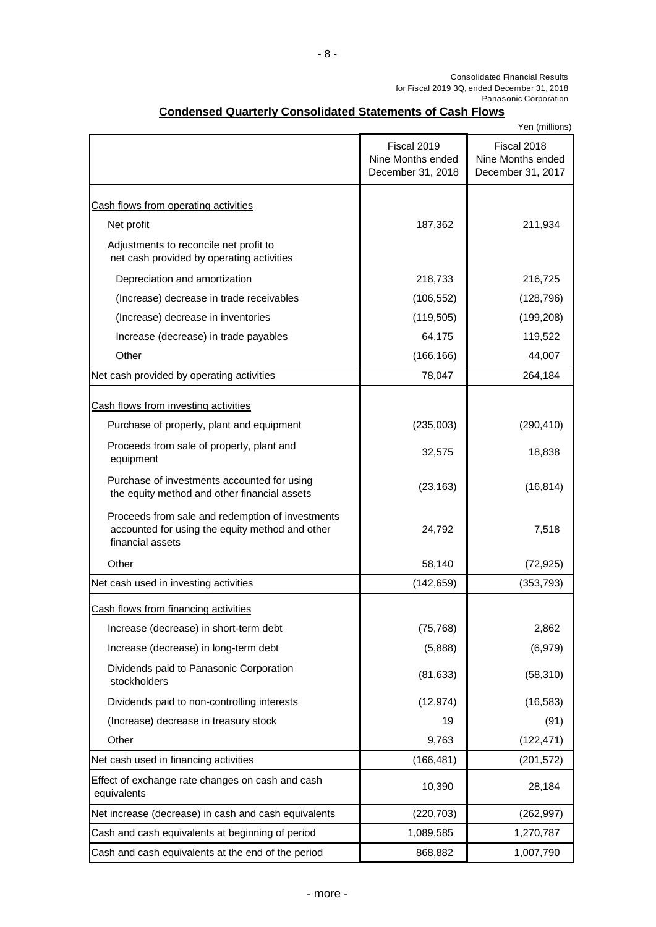# **Condensed Quarterly Consolidated Statements of Cash Flows**

|                                                                                                                         |                                                       | Yen (millions)                                        |
|-------------------------------------------------------------------------------------------------------------------------|-------------------------------------------------------|-------------------------------------------------------|
|                                                                                                                         | Fiscal 2019<br>Nine Months ended<br>December 31, 2018 | Fiscal 2018<br>Nine Months ended<br>December 31, 2017 |
| Cash flows from operating activities                                                                                    |                                                       |                                                       |
| Net profit                                                                                                              | 187,362                                               | 211,934                                               |
| Adjustments to reconcile net profit to<br>net cash provided by operating activities                                     |                                                       |                                                       |
| Depreciation and amortization                                                                                           | 218,733                                               | 216,725                                               |
| (Increase) decrease in trade receivables                                                                                | (106, 552)                                            | (128, 796)                                            |
| (Increase) decrease in inventories                                                                                      | (119, 505)                                            | (199, 208)                                            |
| Increase (decrease) in trade payables                                                                                   | 64,175                                                | 119,522                                               |
| Other                                                                                                                   | (166, 166)                                            | 44,007                                                |
| Net cash provided by operating activities                                                                               | 78,047                                                | 264,184                                               |
| Cash flows from investing activities                                                                                    |                                                       |                                                       |
| Purchase of property, plant and equipment                                                                               | (235,003)                                             | (290, 410)                                            |
| Proceeds from sale of property, plant and<br>equipment                                                                  | 32,575                                                | 18,838                                                |
| Purchase of investments accounted for using<br>the equity method and other financial assets                             | (23, 163)                                             | (16, 814)                                             |
| Proceeds from sale and redemption of investments<br>accounted for using the equity method and other<br>financial assets | 24,792                                                | 7,518                                                 |
| Other                                                                                                                   | 58,140                                                | (72, 925)                                             |
| Net cash used in investing activities                                                                                   | (142, 659)                                            | (353, 793)                                            |
| Cash flows from financing activities                                                                                    |                                                       |                                                       |
| Increase (decrease) in short-term debt                                                                                  | (75, 768)                                             | 2,862                                                 |
| Increase (decrease) in long-term debt                                                                                   | (5,888)                                               | (6,979)                                               |
| Dividends paid to Panasonic Corporation<br>stockholders                                                                 | (81, 633)                                             | (58, 310)                                             |
| Dividends paid to non-controlling interests                                                                             | (12, 974)                                             | (16, 583)                                             |
| (Increase) decrease in treasury stock                                                                                   | 19                                                    | (91)                                                  |
| Other                                                                                                                   | 9,763                                                 | (122, 471)                                            |
| Net cash used in financing activities                                                                                   | (166, 481)                                            | (201, 572)                                            |
| Effect of exchange rate changes on cash and cash<br>equivalents                                                         | 10,390                                                | 28,184                                                |
| Net increase (decrease) in cash and cash equivalents                                                                    | (220, 703)                                            | (262, 997)                                            |
| Cash and cash equivalents at beginning of period                                                                        | 1,089,585                                             | 1,270,787                                             |
| Cash and cash equivalents at the end of the period                                                                      | 868,882                                               | 1,007,790                                             |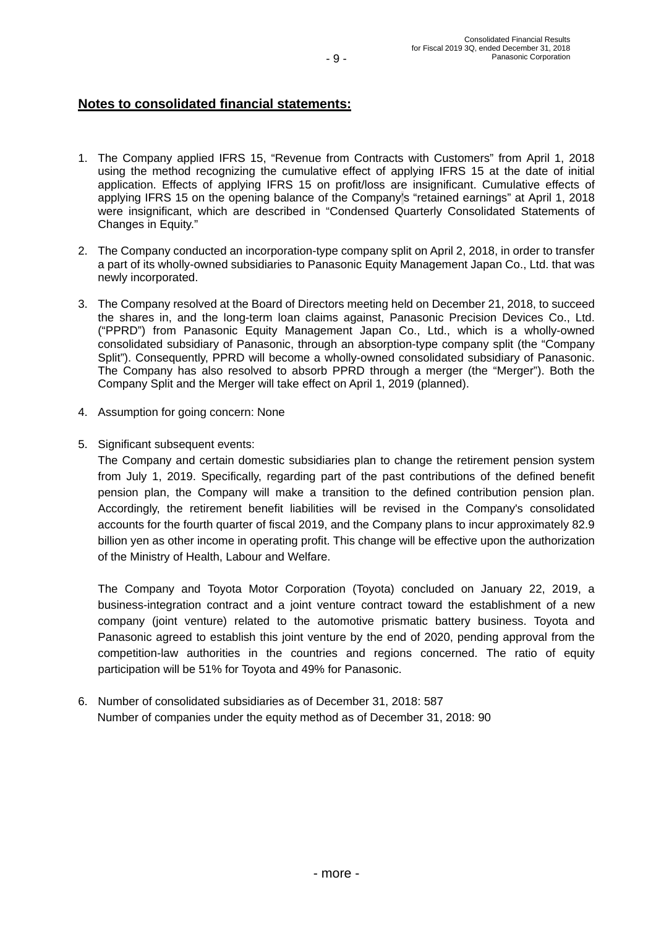### **Notes to consolidated financial statements:**

- 1. The Company applied IFRS 15, "Revenue from Contracts with Customers" from April 1, 2018 using the method recognizing the cumulative effect of applying IFRS 15 at the date of initial application. Effects of applying IFRS 15 on profit/loss are insignificant. Cumulative effects of applying IFRS 15 on the opening balance of the Company's "retained earnings" at April 1, 2018 were insignificant, which are described in "Condensed Quarterly Consolidated Statements of Changes in Equity."
- 2. The Company conducted an incorporation-type company split on April 2, 2018, in order to transfer a part of its wholly-owned subsidiaries to Panasonic Equity Management Japan Co., Ltd. that was newly incorporated.
- 3. The Company resolved at the Board of Directors meeting held on December 21, 2018, to succeed the shares in, and the long-term loan claims against, Panasonic Precision Devices Co., Ltd. ("PPRD") from Panasonic Equity Management Japan Co., Ltd., which is a wholly-owned consolidated subsidiary of Panasonic, through an absorption-type company split (the "Company Split"). Consequently, PPRD will become a wholly-owned consolidated subsidiary of Panasonic. The Company has also resolved to absorb PPRD through a merger (the "Merger"). Both the Company Split and the Merger will take effect on April 1, 2019 (planned).
- 4. Assumption for going concern: None
- 5. Significant subsequent events:

The Company and certain domestic subsidiaries plan to change the retirement pension system from July 1, 2019. Specifically, regarding part of the past contributions of the defined benefit pension plan, the Company will make a transition to the defined contribution pension plan. Accordingly, the retirement benefit liabilities will be revised in the Company's consolidated accounts for the fourth quarter of fiscal 2019, and the Company plans to incur approximately 82.9 billion yen as other income in operating profit. This change will be effective upon the authorization of the Ministry of Health, Labour and Welfare.

The Company and Toyota Motor Corporation (Toyota) concluded on January 22, 2019, a business-integration contract and a joint venture contract toward the establishment of a new company (joint venture) related to the automotive prismatic battery business. Toyota and Panasonic agreed to establish this joint venture by the end of 2020, pending approval from the competition-law authorities in the countries and regions concerned. The ratio of equity participation will be 51% for Toyota and 49% for Panasonic.

6. Number of consolidated subsidiaries as of December 31, 2018: 587 Number of companies under the equity method as of December 31, 2018: 90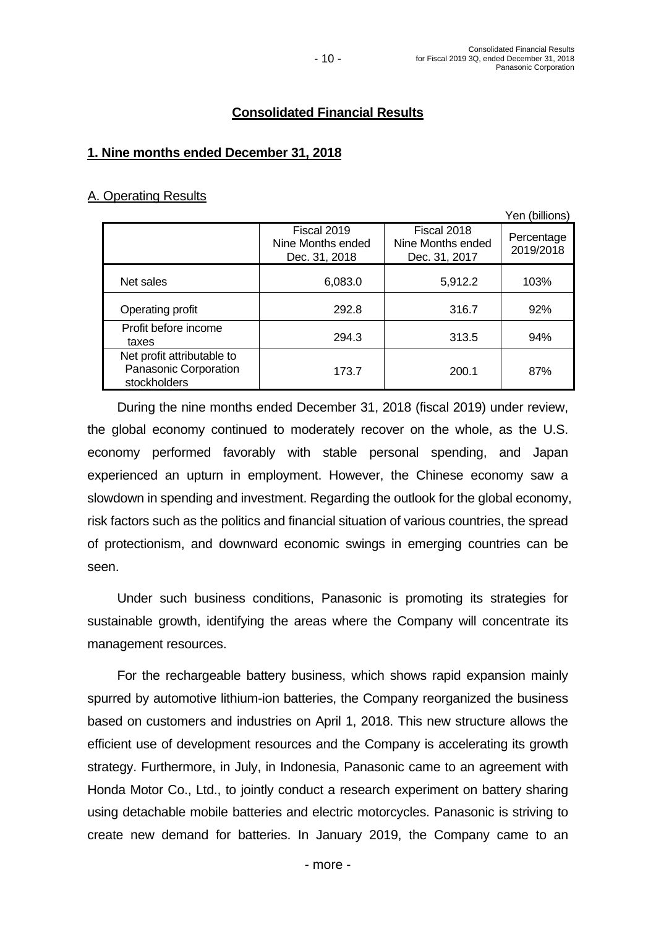# **Consolidated Financial Results**

# **1. Nine months ended December 31, 2018**

### A. Operating Results

|                                                                     |                                                   |                                                   | Yen (billions)          |
|---------------------------------------------------------------------|---------------------------------------------------|---------------------------------------------------|-------------------------|
|                                                                     | Fiscal 2019<br>Nine Months ended<br>Dec. 31, 2018 | Fiscal 2018<br>Nine Months ended<br>Dec. 31, 2017 | Percentage<br>2019/2018 |
| Net sales                                                           | 6,083.0                                           | 5,912.2                                           | 103%                    |
| Operating profit                                                    | 292.8                                             | 316.7                                             | 92%                     |
| Profit before income<br>taxes                                       | 294.3                                             | 313.5                                             | 94%                     |
| Net profit attributable to<br>Panasonic Corporation<br>stockholders | 173.7                                             | 200.1                                             | 87%                     |

 During the nine months ended December 31, 2018 (fiscal 2019) under review, the global economy continued to moderately recover on the whole, as the U.S. economy performed favorably with stable personal spending, and Japan experienced an upturn in employment. However, the Chinese economy saw a slowdown in spending and investment. Regarding the outlook for the global economy, risk factors such as the politics and financial situation of various countries, the spread of protectionism, and downward economic swings in emerging countries can be seen.

 Under such business conditions, Panasonic is promoting its strategies for sustainable growth, identifying the areas where the Company will concentrate its management resources.

 For the rechargeable battery business, which shows rapid expansion mainly spurred by automotive lithium-ion batteries, the Company reorganized the business based on customers and industries on April 1, 2018. This new structure allows the efficient use of development resources and the Company is accelerating its growth strategy. Furthermore, in July, in Indonesia, Panasonic came to an agreement with Honda Motor Co., Ltd., to jointly conduct a research experiment on battery sharing using detachable mobile batteries and electric motorcycles. Panasonic is striving to create new demand for batteries. In January 2019, the Company came to an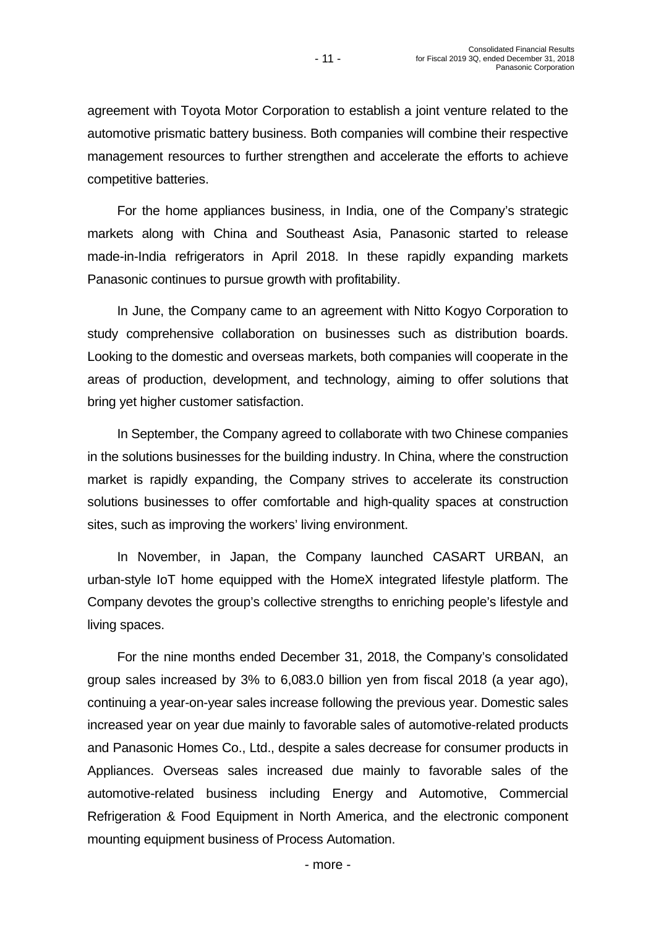agreement with Toyota Motor Corporation to establish a joint venture related to the automotive prismatic battery business. Both companies will combine their respective management resources to further strengthen and accelerate the efforts to achieve competitive batteries.

 For the home appliances business, in India, one of the Company's strategic markets along with China and Southeast Asia, Panasonic started to release made-in-India refrigerators in April 2018. In these rapidly expanding markets Panasonic continues to pursue growth with profitability.

 In June, the Company came to an agreement with Nitto Kogyo Corporation to study comprehensive collaboration on businesses such as distribution boards. Looking to the domestic and overseas markets, both companies will cooperate in the areas of production, development, and technology, aiming to offer solutions that bring yet higher customer satisfaction.

 In September, the Company agreed to collaborate with two Chinese companies in the solutions businesses for the building industry. In China, where the construction market is rapidly expanding, the Company strives to accelerate its construction solutions businesses to offer comfortable and high-quality spaces at construction sites, such as improving the workers' living environment.

 In November, in Japan, the Company launched CASART URBAN, an urban-style IoT home equipped with the HomeX integrated lifestyle platform. The Company devotes the group's collective strengths to enriching people's lifestyle and living spaces.

 For the nine months ended December 31, 2018, the Company's consolidated group sales increased by 3% to 6,083.0 billion yen from fiscal 2018 (a year ago), continuing a year-on-year sales increase following the previous year. Domestic sales increased year on year due mainly to favorable sales of automotive-related products and Panasonic Homes Co., Ltd., despite a sales decrease for consumer products in Appliances. Overseas sales increased due mainly to favorable sales of the automotive-related business including Energy and Automotive, Commercial Refrigeration & Food Equipment in North America, and the electronic component mounting equipment business of Process Automation.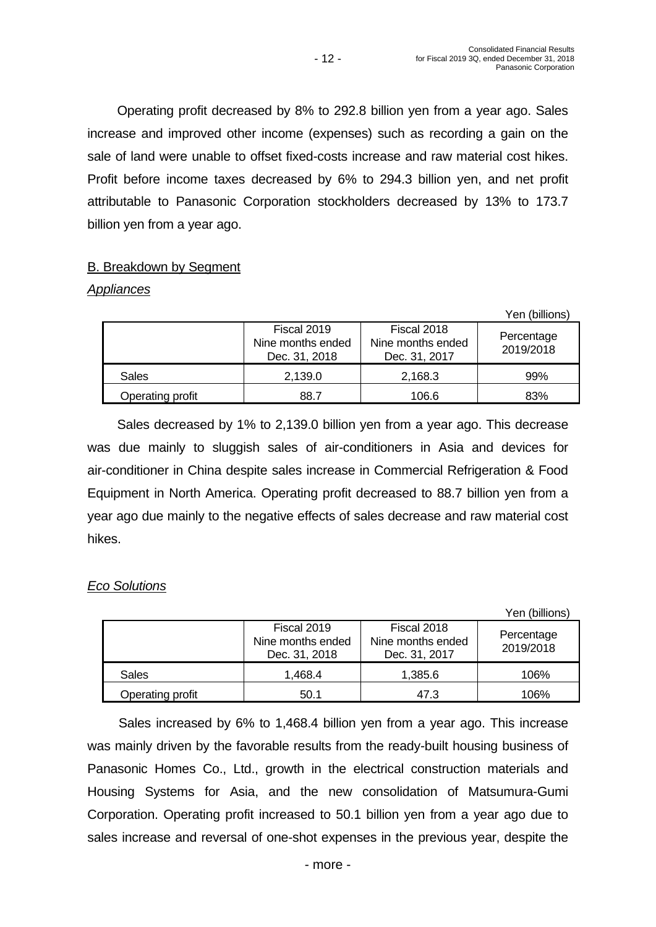Operating profit decreased by 8% to 292.8 billion yen from a year ago. Sales increase and improved other income (expenses) such as recording a gain on the sale of land were unable to offset fixed-costs increase and raw material cost hikes. Profit before income taxes decreased by 6% to 294.3 billion yen, and net profit attributable to Panasonic Corporation stockholders decreased by 13% to 173.7 billion yen from a year ago.

- 12 -

# B. Breakdown by Segment

# *Appliances*

|                  |                                                   |                                                   | Yen (billions)          |
|------------------|---------------------------------------------------|---------------------------------------------------|-------------------------|
|                  | Fiscal 2019<br>Nine months ended<br>Dec. 31, 2018 | Fiscal 2018<br>Nine months ended<br>Dec. 31, 2017 | Percentage<br>2019/2018 |
| <b>Sales</b>     | 2,139.0                                           | 2,168.3                                           | 99%                     |
| Operating profit | 88.7                                              | 106.6                                             | 83%                     |

 Sales decreased by 1% to 2,139.0 billion yen from a year ago. This decrease was due mainly to sluggish sales of air-conditioners in Asia and devices for air-conditioner in China despite sales increase in Commercial Refrigeration & Food Equipment in North America. Operating profit decreased to 88.7 billion yen from a year ago due mainly to the negative effects of sales decrease and raw material cost hikes.

# *Eco Solutions*

|                  |                                                   |                                                   | Yen (billions)          |
|------------------|---------------------------------------------------|---------------------------------------------------|-------------------------|
|                  | Fiscal 2019<br>Nine months ended<br>Dec. 31, 2018 | Fiscal 2018<br>Nine months ended<br>Dec. 31, 2017 | Percentage<br>2019/2018 |
| Sales            | 1.468.4                                           | 1,385.6                                           | 106%                    |
| Operating profit | 50.1                                              | 47.3                                              | 106%                    |

 Sales increased by 6% to 1,468.4 billion yen from a year ago. This increase was mainly driven by the favorable results from the ready-built housing business of Panasonic Homes Co., Ltd., growth in the electrical construction materials and Housing Systems for Asia, and the new consolidation of Matsumura-Gumi Corporation. Operating profit increased to 50.1 billion yen from a year ago due to sales increase and reversal of one-shot expenses in the previous year, despite the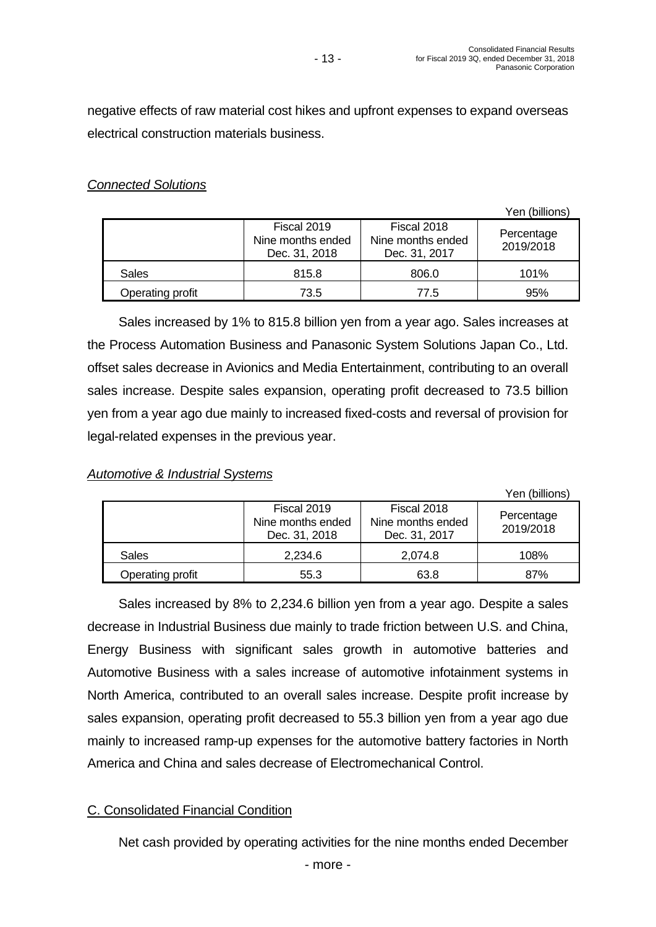$Y \rightarrow \infty$  (billions)

negative effects of raw material cost hikes and upfront expenses to expand overseas electrical construction materials business.

# *Connected Solutions*

|                  |                                                   |                                                   | 1 EN (DIIIIONS)         |
|------------------|---------------------------------------------------|---------------------------------------------------|-------------------------|
|                  | Fiscal 2019<br>Nine months ended<br>Dec. 31, 2018 | Fiscal 2018<br>Nine months ended<br>Dec. 31, 2017 | Percentage<br>2019/2018 |
| <b>Sales</b>     | 815.8                                             | 806.0                                             | 101%                    |
| Operating profit | 73.5                                              | 77.5                                              | 95%                     |

 Sales increased by 1% to 815.8 billion yen from a year ago. Sales increases at the Process Automation Business and Panasonic System Solutions Japan Co., Ltd. offset sales decrease in Avionics and Media Entertainment, contributing to an overall sales increase. Despite sales expansion, operating profit decreased to 73.5 billion yen from a year ago due mainly to increased fixed-costs and reversal of provision for legal-related expenses in the previous year.

# *Automotive & Industrial Systems*

|                  |                                                   |                                                   | Yen (billions)          |
|------------------|---------------------------------------------------|---------------------------------------------------|-------------------------|
|                  | Fiscal 2019<br>Nine months ended<br>Dec. 31, 2018 | Fiscal 2018<br>Nine months ended<br>Dec. 31, 2017 | Percentage<br>2019/2018 |
| Sales            | 2,234.6                                           | 2,074.8                                           | 108%                    |
| Operating profit | 55.3                                              | 63.8                                              | 87%                     |

 Sales increased by 8% to 2,234.6 billion yen from a year ago. Despite a sales decrease in Industrial Business due mainly to trade friction between U.S. and China, Energy Business with significant sales growth in automotive batteries and Automotive Business with a sales increase of automotive infotainment systems in North America, contributed to an overall sales increase. Despite profit increase by sales expansion, operating profit decreased to 55.3 billion yen from a year ago due mainly to increased ramp-up expenses for the automotive battery factories in North America and China and sales decrease of Electromechanical Control.

# C. Consolidated Financial Condition

Net cash provided by operating activities for the nine months ended December

- more -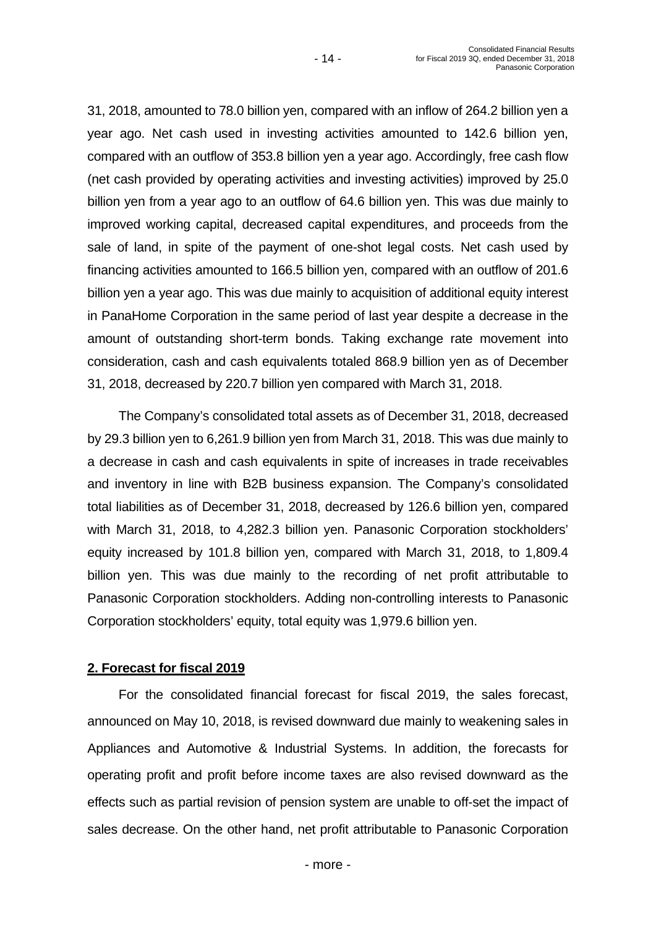31, 2018, amounted to 78.0 billion yen, compared with an inflow of 264.2 billion yen a year ago. Net cash used in investing activities amounted to 142.6 billion yen, compared with an outflow of 353.8 billion yen a year ago. Accordingly, free cash flow (net cash provided by operating activities and investing activities) improved by 25.0 billion yen from a year ago to an outflow of 64.6 billion yen. This was due mainly to improved working capital, decreased capital expenditures, and proceeds from the sale of land, in spite of the payment of one-shot legal costs. Net cash used by financing activities amounted to 166.5 billion yen, compared with an outflow of 201.6 billion yen a year ago. This was due mainly to acquisition of additional equity interest in PanaHome Corporation in the same period of last year despite a decrease in the amount of outstanding short-term bonds. Taking exchange rate movement into consideration, cash and cash equivalents totaled 868.9 billion yen as of December 31, 2018, decreased by 220.7 billion yen compared with March 31, 2018.

 The Company's consolidated total assets as of December 31, 2018, decreased by 29.3 billion yen to 6,261.9 billion yen from March 31, 2018. This was due mainly to a decrease in cash and cash equivalents in spite of increases in trade receivables and inventory in line with B2B business expansion. The Company's consolidated total liabilities as of December 31, 2018, decreased by 126.6 billion yen, compared with March 31, 2018, to 4,282.3 billion yen. Panasonic Corporation stockholders' equity increased by 101.8 billion yen, compared with March 31, 2018, to 1,809.4 billion yen. This was due mainly to the recording of net profit attributable to Panasonic Corporation stockholders. Adding non-controlling interests to Panasonic Corporation stockholders' equity, total equity was 1,979.6 billion yen.

# **2. Forecast for fiscal 2019**

For the consolidated financial forecast for fiscal 2019, the sales forecast, announced on May 10, 2018, is revised downward due mainly to weakening sales in Appliances and Automotive & Industrial Systems. In addition, the forecasts for operating profit and profit before income taxes are also revised downward as the effects such as partial revision of pension system are unable to off-set the impact of sales decrease. On the other hand, net profit attributable to Panasonic Corporation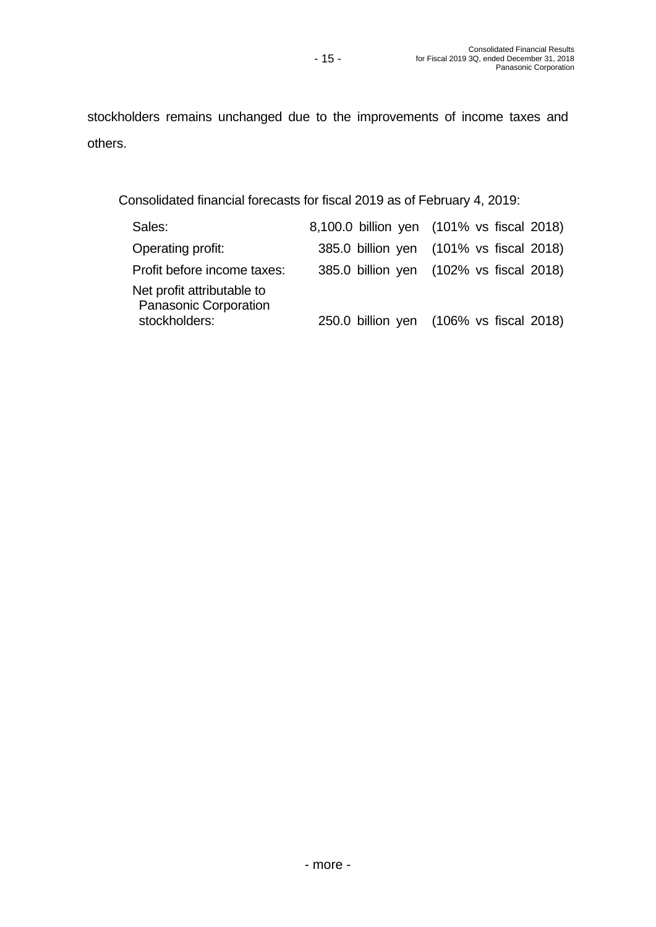stockholders remains unchanged due to the improvements of income taxes and others.

Consolidated financial forecasts for fiscal 2019 as of February 4, 2019:

| Sales:                                                     | 8,100.0 billion yen (101% vs fiscal 2018) |
|------------------------------------------------------------|-------------------------------------------|
| Operating profit:                                          | 385.0 billion yen (101% vs fiscal 2018)   |
| Profit before income taxes:                                | 385.0 billion yen (102% vs fiscal 2018)   |
| Net profit attributable to<br><b>Panasonic Corporation</b> |                                           |
| stockholders:                                              | 250.0 billion yen (106% vs fiscal 2018)   |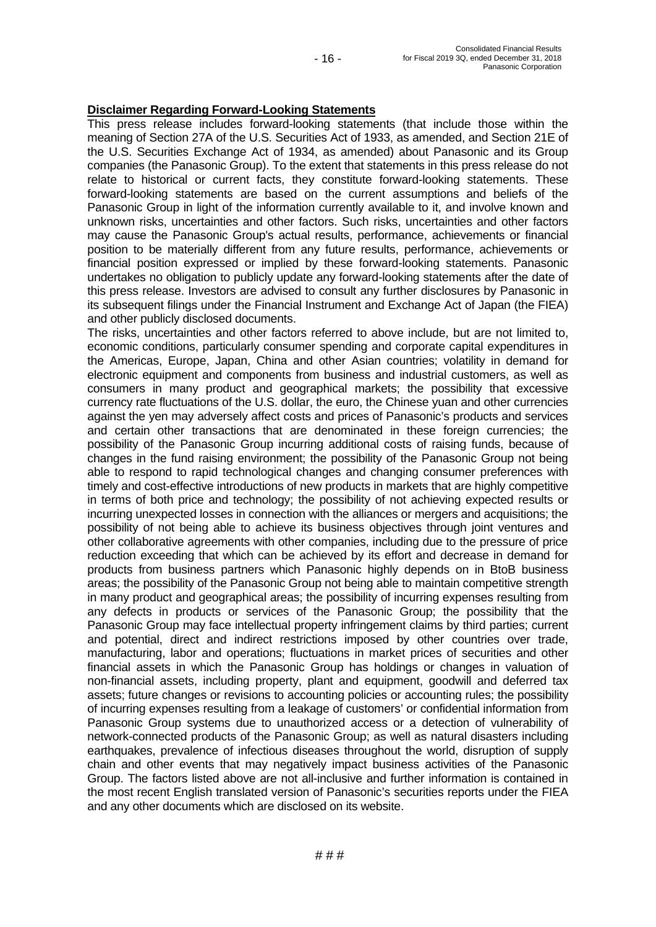### **Disclaimer Regarding Forward-Looking Statements**

This press release includes forward-looking statements (that include those within the meaning of Section 27A of the U.S. Securities Act of 1933, as amended, and Section 21E of the U.S. Securities Exchange Act of 1934, as amended) about Panasonic and its Group companies (the Panasonic Group). To the extent that statements in this press release do not relate to historical or current facts, they constitute forward-looking statements. These forward-looking statements are based on the current assumptions and beliefs of the Panasonic Group in light of the information currently available to it, and involve known and unknown risks, uncertainties and other factors. Such risks, uncertainties and other factors may cause the Panasonic Group's actual results, performance, achievements or financial position to be materially different from any future results, performance, achievements or financial position expressed or implied by these forward-looking statements. Panasonic undertakes no obligation to publicly update any forward-looking statements after the date of this press release. Investors are advised to consult any further disclosures by Panasonic in its subsequent filings under the Financial Instrument and Exchange Act of Japan (the FIEA) and other publicly disclosed documents.

The risks, uncertainties and other factors referred to above include, but are not limited to, economic conditions, particularly consumer spending and corporate capital expenditures in the Americas, Europe, Japan, China and other Asian countries; volatility in demand for electronic equipment and components from business and industrial customers, as well as consumers in many product and geographical markets; the possibility that excessive currency rate fluctuations of the U.S. dollar, the euro, the Chinese yuan and other currencies against the yen may adversely affect costs and prices of Panasonic's products and services and certain other transactions that are denominated in these foreign currencies; the possibility of the Panasonic Group incurring additional costs of raising funds, because of changes in the fund raising environment; the possibility of the Panasonic Group not being able to respond to rapid technological changes and changing consumer preferences with timely and cost-effective introductions of new products in markets that are highly competitive in terms of both price and technology; the possibility of not achieving expected results or incurring unexpected losses in connection with the alliances or mergers and acquisitions; the possibility of not being able to achieve its business objectives through joint ventures and other collaborative agreements with other companies, including due to the pressure of price reduction exceeding that which can be achieved by its effort and decrease in demand for products from business partners which Panasonic highly depends on in BtoB business areas; the possibility of the Panasonic Group not being able to maintain competitive strength in many product and geographical areas; the possibility of incurring expenses resulting from any defects in products or services of the Panasonic Group; the possibility that the Panasonic Group may face intellectual property infringement claims by third parties; current and potential, direct and indirect restrictions imposed by other countries over trade, manufacturing, labor and operations; fluctuations in market prices of securities and other financial assets in which the Panasonic Group has holdings or changes in valuation of non-financial assets, including property, plant and equipment, goodwill and deferred tax assets; future changes or revisions to accounting policies or accounting rules; the possibility of incurring expenses resulting from a leakage of customers' or confidential information from Panasonic Group systems due to unauthorized access or a detection of vulnerability of network-connected products of the Panasonic Group; as well as natural disasters including earthquakes, prevalence of infectious diseases throughout the world, disruption of supply chain and other events that may negatively impact business activities of the Panasonic Group. The factors listed above are not all-inclusive and further information is contained in the most recent English translated version of Panasonic's securities reports under the FIEA and any other documents which are disclosed on its website.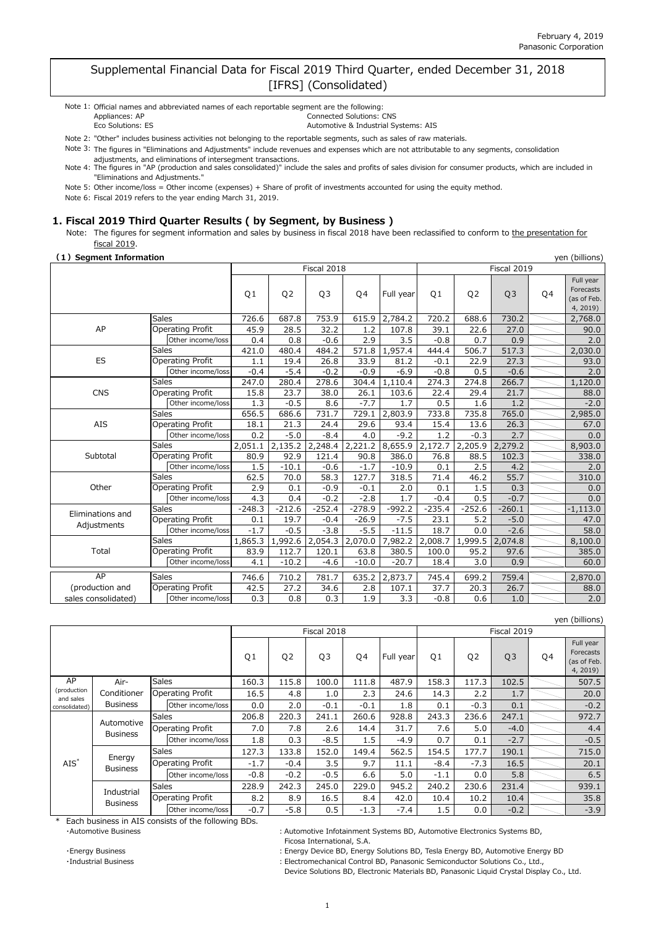### Supplemental Financial Data for Fiscal 2019 Third Quarter, ended December 31, 2018 [IFRS] (Consolidated)

| Note 1: Official names and abbreviated names of each reportable segment are the following: |                                      |
|--------------------------------------------------------------------------------------------|--------------------------------------|
| Appliances: AP                                                                             | <b>Connected Solutions: CNS</b>      |
| Eco Solutions: ES                                                                          | Automotive & Industrial Systems: AIS |

Note 2: "Other" includes business activities not belonging to the reportable segments, such as sales of raw materials.

Note 3: The figures in "Eliminations and Adjustments" include revenues and expenses which are not attributable to any segments, consolidation

adjustments, and eliminations of intersegment transactions.<br>Note 4: The figures in "AP (production and sales consolidated)" include the sales and profits of sales division for consumer products, which are included in

Note 5: Other income/loss = Other income (expenses) + Share of profit of investments accounted for using the equity method. "Eliminations and Adjustments."

Note 6: Fiscal 2019 refers to the year ending March 31, 2019.

#### **1. Fiscal 2019 Third Quarter Results ( by Segment, by Business )**

Note: The figures for segment information and sales by business in fiscal 2018 have been reclassified to conform to the presentation for fiscal 2019.

#### **(1)Segment Information**

| yen (billions)<br>(1) Segment Information |              |                         |                |                |                |          |           |                |                |                |    |                                                   |
|-------------------------------------------|--------------|-------------------------|----------------|----------------|----------------|----------|-----------|----------------|----------------|----------------|----|---------------------------------------------------|
|                                           |              |                         |                |                | Fiscal 2018    |          |           |                |                | Fiscal 2019    |    |                                                   |
|                                           |              |                         | Q <sub>1</sub> | Q <sub>2</sub> | Q <sub>3</sub> | Q4       | Full year | Q <sub>1</sub> | Q <sub>2</sub> | Q <sub>3</sub> | Q4 | Full year<br>Forecasts<br>(as of Feb.<br>4, 2019) |
|                                           | <b>Sales</b> |                         | 726.6          | 687.8          | 753.9          | 615.9    | 2,784.2   | 720.2          | 688.6          | 730.2          |    | 2,768.0                                           |
| AP                                        |              | Operating Profit        | 45.9           | 28.5           | 32.2           | 1.2      | 107.8     | 39.1           | 22.6           | 27.0           |    | 90.0                                              |
|                                           |              | Other income/loss       | 0.4            | 0.8            | $-0.6$         | 2.9      | 3.5       | $-0.8$         | 0.7            | 0.9            |    | 2.0                                               |
|                                           | <b>Sales</b> |                         | 421.0          | 480.4          | 484.2          | 571.8    | 1,957.4   | 444.4          | 506.7          | 517.3          |    | 2,030.0                                           |
| ES                                        |              | Operating Profit        | 1.1            | 19.4           | 26.8           | 33.9     | 81.2      | $-0.1$         | 22.9           | 27.3           |    | 93.0                                              |
|                                           |              | Other income/loss       | $-0.4$         | $-5.4$         | $-0.2$         | $-0.9$   | $-6.9$    | $-0.8$         | 0.5            | $-0.6$         |    | 2.0                                               |
|                                           | Sales        |                         | 247.0          | 280.4          | 278.6          | 304.4    | 1,110.4   | 274.3          | 274.8          | 266.7          |    | 1,120.0                                           |
| <b>CNS</b>                                |              | <b>Operating Profit</b> | 15.8           | 23.7           | 38.0           | 26.1     | 103.6     | 22.4           | 29.4           | 21.7           |    | 88.0                                              |
|                                           |              | Other income/loss       | 1.3            | $-0.5$         | 8.6            | $-7.7$   | 1.7       | 0.5            | 1.6            | 1.2            |    | $-2.0$                                            |
|                                           | Sales        |                         | 656.5          | 686.6          | 731.7          | 729.1    | 2,803.9   | 733.8          | 735.8          | 765.0          |    | 2,985.0                                           |
| AIS                                       |              | <b>Operating Profit</b> | 18.1           | 21.3           | 24.4           | 29.6     | 93.4      | 15.4           | 13.6           | 26.3           |    | 67.0                                              |
|                                           |              | Other income/loss       | 0.2            | $-5.0$         | $-8.4$         | 4.0      | $-9.2$    | 1.2            | $-0.3$         | 2.7            |    | 0.0                                               |
|                                           | <b>Sales</b> |                         | 2,051.1        | 2,135.2        | 2,248.4        | 2,221.2  | 8,655.9   | 2,172.7        | 2,205.9        | 2,279.2        |    | 8,903.0                                           |
| Subtotal                                  |              | <b>Operating Profit</b> | 80.9           | 92.9           | 121.4          | 90.8     | 386.0     | 76.8           | 88.5           | 102.3          |    | 338.0                                             |
|                                           |              | Other income/loss       | 1.5            | $-10.1$        | $-0.6$         | $-1.7$   | $-10.9$   | 0.1            | 2.5            | 4.2            |    | 2.0                                               |
|                                           | Sales        |                         | 62.5           | 70.0           | 58.3           | 127.7    | 318.5     | 71.4           | 46.2           | 55.7           |    | 310.0                                             |
| Other                                     |              | <b>Operating Profit</b> | 2.9            | 0.1            | $-0.9$         | $-0.1$   | 2.0       | 0.1            | 1.5            | 0.3            |    | 0.0                                               |
|                                           |              | Other income/loss       | 4.3            | 0.4            | $-0.2$         | $-2.8$   | 1.7       | $-0.4$         | 0.5            | $-0.7$         |    | 0.0                                               |
| Eliminations and                          | Sales        |                         | $-248.3$       | $-212.6$       | $-252.4$       | $-278.9$ | $-992.2$  | $-235.4$       | $-252.6$       | $-260.1$       |    | $-1,113.0$                                        |
| Adjustments                               |              | <b>Operating Profit</b> | 0.1            | 19.7           | $-0.4$         | $-26.9$  | $-7.5$    | 23.1           | 5.2            | $-5.0$         |    | 47.0                                              |
|                                           |              | Other income/loss       | $-1.7$         | $-0.5$         | $-3.8$         | $-5.5$   | $-11.5$   | 18.7           | 0.0            | $-2.6$         |    | 58.0                                              |
|                                           | Sales        |                         | 1,865.3        | 1,992.6        | 2,054.3        | 2,070.0  | 7,982.2   | 2,008.7        | 1,999.5        | 2,074.8        |    | 8,100.0                                           |
| Total                                     |              | <b>Operating Profit</b> | 83.9           | 112.7          | 120.1          | 63.8     | 380.5     | 100.0          | 95.2           | 97.6           |    | 385.0                                             |
|                                           |              | Other income/loss       | 4.1            | $-10.2$        | $-4.6$         | $-10.0$  | $-20.7$   | 18.4           | 3.0            | 0.9            |    | 60.0                                              |
| AP                                        | Sales        |                         | 746.6          | 710.2          | 781.7          | 635.2    | 2,873.7   | 745.4          | 699.2          | 759.4          |    | 2,870.0                                           |
| (production and                           |              | Operating Profit        | 42.5           | 27.2           | 34.6           | 2.8      | 107.1     | 37.7           | 20.3           | 26.7           |    | 88.0                                              |
| sales consolidated)                       |              | Other income/loss       | 0.3            | 0.8            | 0.3            | 1.9      | 3.3       | $-0.8$         | 0.6            | 1.0            |    | 2.0                                               |

|                          |                           |              |                         |                |                |                |        |           |                |                |                |    | yen (billions)                                   |
|--------------------------|---------------------------|--------------|-------------------------|----------------|----------------|----------------|--------|-----------|----------------|----------------|----------------|----|--------------------------------------------------|
|                          |                           |              |                         | Fiscal 2018    |                |                |        |           | Fiscal 2019    |                |                |    |                                                  |
|                          |                           |              |                         | Q <sub>1</sub> | Q <sub>2</sub> | Q <sub>3</sub> | Q4     | Full year | Q <sub>1</sub> | Q <sub>2</sub> | Q <sub>3</sub> | Q4 | Full year<br>Forecasts<br>(as of Feb.<br>4, 2019 |
| AP                       | Air-                      | <b>Sales</b> |                         | 160.3          | 115.8          | 100.0          | 111.8  | 487.9     | 158.3          | 117.3          | 102.5          |    | 507.5                                            |
| (production<br>and sales | Conditioner               |              | <b>Operating Profit</b> | 16.5           | 4.8            | 1.0            | 2.3    | 24.6      | 14.3           | 2.2            | 1.7            |    | 20.0                                             |
| consolidated)            | <b>Business</b>           |              | Other income/loss       | 0.0            | 2.0            | $-0.1$         | $-0.1$ | 1.8       | 0.1            | $-0.3$         | 0.1            |    | $-0.2$                                           |
|                          | Automotive                | <b>Sales</b> |                         | 206.8          | 220.3          | 241.1          | 260.6  | 928.8     | 243.3          | 236.6          | 247.1          |    | 972.7                                            |
|                          | <b>Business</b>           |              | <b>Operating Profit</b> | 7.0            | 7.8            | 2.6            | 14.4   | 31.7      | 7.6            | 5.0            | $-4.0$         |    | 4.4                                              |
|                          |                           |              | Other income/loss       | 1.8            | 0.3            | $-8.5$         | 1.5    | $-4.9$    | 0.7            | 0.1            | $-2.7$         |    | $-0.5$                                           |
|                          |                           | <b>Sales</b> |                         | 127.3          | 133.8          | 152.0          | 149.4  | 562.5     | 154.5          | 177.7          | 190.1          |    | 715.0                                            |
| $AIS^*$                  | Energy<br><b>Business</b> |              | <b>Operating Profit</b> | $-1.7$         | $-0.4$         | 3.5            | 9.7    | 11.1      | $-8.4$         | $-7.3$         | 16.5           |    | 20.1                                             |
|                          |                           |              | Other income/loss       | $-0.8$         | $-0.2$         | $-0.5$         | 6.6    | 5.0       | $-1.1$         | 0.0            | 5.8            |    | 6.5                                              |
|                          | Sales                     |              |                         | 228.9          | 242.3          | 245.0          | 229.0  | 945.2     | 240.2          | 230.6          | 231.4          |    | 939.1                                            |
|                          | Industrial                |              | <b>Operating Profit</b> | 8.2            | 8.9            | 16.5           | 8.4    | 42.0      | 10.4           | 10.2           | 10.4           |    | 35.8                                             |
|                          | <b>Business</b>           |              | Other income/loss       | $-0.7$         | -5.8           | 0.5            | $-1.3$ | $-7.4$    | 1.5            | 0.0            | $-0.2$         |    | $-3.9$                                           |

Each business in AIS consists of the following BDs.

Ficosa International, S.A.

・Automotive Business :Automotive Infotainment Systems BD, Automotive Electronics Systems BD,

・Energy Business :Energy Device BD, Energy Solutions BD, Tesla Energy BD, Automotive Energy BD

・Industrial Business :Electromechanical Control BD, Panasonic Semiconductor Solutions Co., Ltd.,

Device Solutions BD, Electronic Materials BD, Panasonic Liquid Crystal Display Co., Ltd.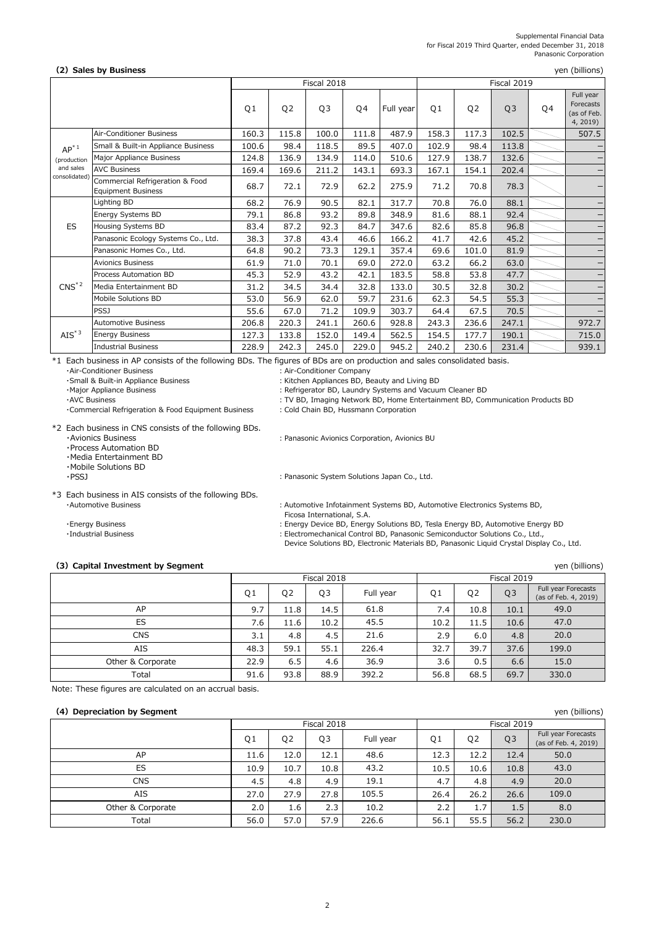#### Supplemental Financial Data for Fiscal 2019 Third Quarter, ended December 31, 2018 Panasonic Corporation

#### **(2)Sales by Business**

|                      |                                                              | Fiscal 2018    |                |       |       |           |       |                | Fiscal 2019    |    |                                                   |
|----------------------|--------------------------------------------------------------|----------------|----------------|-------|-------|-----------|-------|----------------|----------------|----|---------------------------------------------------|
|                      |                                                              | Q <sub>1</sub> | Q <sub>2</sub> | Q3    | Q4    | Full year | Q1    | Q <sub>2</sub> | Q <sub>3</sub> | Q4 | Full year<br>Forecasts<br>(as of Feb.<br>4, 2019) |
|                      | Air-Conditioner Business                                     | 160.3          | 115.8          | 100.0 | 111.8 | 487.9     | 158.3 | 117.3          | 102.5          |    | 507.5                                             |
| $AP^*$ <sup>1</sup>  | Small & Built-in Appliance Business                          | 100.6          | 98.4           | 118.5 | 89.5  | 407.0     | 102.9 | 98.4           | 113.8          |    | $\qquad \qquad -$                                 |
| (production          | Major Appliance Business                                     | 124.8          | 136.9          | 134.9 | 114.0 | 510.6     | 127.9 | 138.7          | 132.6          |    | $\overline{\phantom{m}}$                          |
| and sales            | <b>AVC Business</b>                                          | 169.4          | 169.6          | 211.2 | 143.1 | 693.3     | 167.1 | 154.1          | 202.4          |    | $\overline{\phantom{0}}$                          |
| consolidated)        | Commercial Refrigeration & Food<br><b>Equipment Business</b> | 68.7           | 72.1           | 72.9  | 62.2  | 275.9     | 71.2  | 70.8           | 78.3           |    | —                                                 |
|                      | Lighting BD                                                  | 68.2           | 76.9           | 90.5  | 82.1  | 317.7     | 70.8  | 76.0           | 88.1           |    | $\qquad \qquad -$                                 |
|                      | Energy Systems BD                                            | 79.1           | 86.8           | 93.2  | 89.8  | 348.9     | 81.6  | 88.1           | 92.4           |    | $\overline{\phantom{0}}$                          |
| ES                   | Housing Systems BD                                           | 83.4           | 87.2           | 92.3  | 84.7  | 347.6     | 82.6  | 85.8           | 96.8           |    | -                                                 |
|                      | Panasonic Ecology Systems Co., Ltd.                          | 38.3           | 37.8           | 43.4  | 46.6  | 166.2     | 41.7  | 42.6           | 45.2           |    | -                                                 |
|                      | Panasonic Homes Co., Ltd.                                    | 64.8           | 90.2           | 73.3  | 129.1 | 357.4     | 69.6  | 101.0          | 81.9           |    | -                                                 |
|                      | <b>Avionics Business</b>                                     | 61.9           | 71.0           | 70.1  | 69.0  | 272.0     | 63.2  | 66.2           | 63.0           |    | $\qquad \qquad -$                                 |
|                      | Process Automation BD                                        | 45.3           | 52.9           | 43.2  | 42.1  | 183.5     | 58.8  | 53.8           | 47.7           |    | $\qquad \qquad -$                                 |
| $CNS^*{}^2$          | Media Entertainment BD                                       | 31.2           | 34.5           | 34.4  | 32.8  | 133.0     | 30.5  | 32.8           | 30.2           |    | $\qquad \qquad -$                                 |
|                      | Mobile Solutions BD                                          | 53.0           | 56.9           | 62.0  | 59.7  | 231.6     | 62.3  | 54.5           | 55.3           |    | -                                                 |
|                      | <b>PSSJ</b>                                                  | 55.6           | 67.0           | 71.2  | 109.9 | 303.7     | 64.4  | 67.5           | 70.5           |    | $\overline{\phantom{0}}$                          |
|                      | <b>Automotive Business</b>                                   | 206.8          | 220.3          | 241.1 | 260.6 | 928.8     | 243.3 | 236.6          | 247.1          |    | 972.7                                             |
| $AIS^*$ <sup>3</sup> | <b>Energy Business</b>                                       | 127.3          | 133.8          | 152.0 | 149.4 | 562.5     | 154.5 | 177.7          | 190.1          |    | 715.0                                             |
|                      | <b>Industrial Business</b>                                   | 228.9          | 242.3          | 245.0 | 229.0 | 945.2     | 240.2 | 230.6          | 231.4          |    | 939.1                                             |

\*1 Each business in AP consists of the following BDs. The figures of BDs are on production and sales consolidated basis.

・Air-Conditioner Business :Air-Conditioner Company

・Small & Built-in Appliance Business :Kitchen Appliances BD, Beauty and Living BD

: Refrigerator BD, Laundry Systems and Vacuum Cleaner BD

・AVC Business :TV BD, Imaging Network BD, Home Entertainment BD, Communication Products BD

· Commercial Refrigeration & Food Equipment Business : Cold Chain BD, Hussmann Corporation

: Panasonic System Solutions Japan Co., Ltd.

\*2 Each business in CNS consists of the following BDs.

・Avionics Business :Panasonic Avionics Corporation, Avionics BU

・Process Automation BD

・Media Entertainment BD

・Mobile Solutions BD

\*3 Each business in AIS consists of the following BDs. ・Automotive Business :Automotive Infotainment Systems BD, Automotive Electronics Systems BD,

- 
- 

#### **(3)Capital Investment by Segment**

 $Q1$  |  $Q2$  |  $Q3$  | Full year |  $Q1$  |  $Q2$  |  $Q3$ 9.7 | 11.8 | 14.5 | 61.8 | 7.4 | 10.8 | 10.1 7.6 11.6 10.2 45.5 10.2 11.5 10.6 3.1 4.8 4.5 2.9 6.0 4.8 48.3 | 59.1 | 55.1 | 226.4 | 32.7 | 39.7 | 37.6 22.9 6.5 4.6 36.9 36.9 3.6 0.5 6.6 91.6 93.8 88.9 392.2 68.5 68.5 69.7 15.0 330.0 Fiscal 2018 Fiscal 2019 61.8 45.5 21.6 226.4 36.9 392.2 Full year Forecasts (as of Feb. 4, 2019) 49.0 47.0 20.0 199.0 AP ES **CNS** AIS Other & Corporate Total

Note: These figures are calculated on an accrual basis.

### **(4) Depreciation by Segment**

|                   |                |                | Fiscal 2018    |           | Fiscal 2019    |                |                |                                             |  |
|-------------------|----------------|----------------|----------------|-----------|----------------|----------------|----------------|---------------------------------------------|--|
|                   | Q <sub>1</sub> | Q <sub>2</sub> | Q <sub>3</sub> | Full year | Q <sub>1</sub> | Q <sub>2</sub> | Q <sub>3</sub> | Full year Forecasts<br>(as of Feb. 4, 2019) |  |
| AP                | 11.6           | 12.0           | 12.1           | 48.6      | 12.3           | 12.2           | 12.4           | 50.0                                        |  |
| ES                | 10.9           | 10.7           | 10.8           | 43.2      | 10.5           | 10.6           | 10.8           | 43.0                                        |  |
| <b>CNS</b>        | 4.5            | 4.8            | 4.9            | 19.1      | 4.7            | 4.8            | 4.9            | 20.0                                        |  |
| AIS               | 27.0           | 27.9           | 27.8           | 105.5     | 26.4           | 26.2           | 26.6           | 109.0                                       |  |
| Other & Corporate | 2.0            | 1.6            | 2.3            | 10.2      | 2.2            | 1.7            | 1.5            | 8.0                                         |  |
| Total             | 56.0           | 57.0           | 57.9           | 226.6     | 56.1           | 55.5           | 56.2           | 230.0                                       |  |

Ficosa International, S.A.

- ・Energy Business :Energy Device BD, Energy Solutions BD, Tesla Energy BD, Automotive Energy BD
- ・Industrial Business :Electromechanical Control BD, Panasonic Semiconductor Solutions Co., Ltd.,

Device Solutions BD, Electronic Materials BD, Panasonic Liquid Crystal Display Co., Ltd.

2

yen (billions)

yen (billions)

yen (billions)